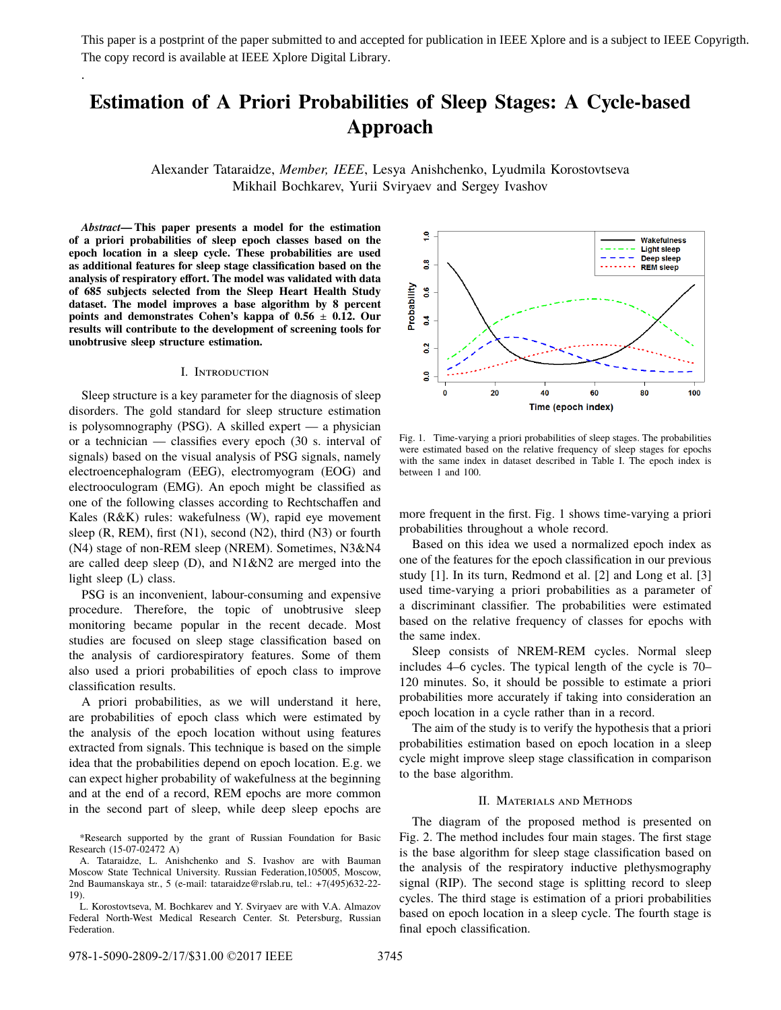This paper is a postprint of the paper submitted to and accepted for publication in IEEE Xplore and is a subject to IEEE Copyrigth. The copy record is available at IEEE Xplore Digital Library.

# **Estimation of A Priori Probabilities of Sleep Stages: A Cycle-based Approach**

Alexander Tataraidze, *Member, IEEE*, Lesya Anishchenko, Lyudmila Korostovtseva Mikhail Bochkarev, Yurii Sviryaev and Sergey Ivashov

*Abstract***— This paper presents a model for the estimation of a priori probabilities of sleep epoch classes based on the epoch location in a sleep cycle. These probabilities are used as additional features for sleep stage classification based on the analysis of respiratory effort. The model was validated with data of 685 subjects selected from the Sleep Heart Health Study dataset. The model improves a base algorithm by 8 percent points and demonstrates Cohen's kappa of 0.56** ± **0.12. Our results will contribute to the development of screening tools for unobtrusive sleep structure estimation.**

.

#### I. Introduction

Sleep structure is a key parameter for the diagnosis of sleep disorders. The gold standard for sleep structure estimation is polysomnography (PSG). A skilled expert — a physician or a technician — classifies every epoch (30 s. interval of signals) based on the visual analysis of PSG signals, namely electroencephalogram (EEG), electromyogram (EOG) and electrooculogram (EMG). An epoch might be classified as one of the following classes according to Rechtschaffen and Kales (R&K) rules: wakefulness (W), rapid eye movement sleep (R, REM), first (N1), second (N2), third (N3) or fourth (N4) stage of non-REM sleep (NREM). Sometimes, N3&N4 are called deep sleep (D), and N1&N2 are merged into the light sleep (L) class.

PSG is an inconvenient, labour-consuming and expensive procedure. Therefore, the topic of unobtrusive sleep monitoring became popular in the recent decade. Most studies are focused on sleep stage classification based on the analysis of cardiorespiratory features. Some of them also used a priori probabilities of epoch class to improve classification results.

A priori probabilities, as we will understand it here, are probabilities of epoch class which were estimated by the analysis of the epoch location without using features extracted from signals. This technique is based on the simple idea that the probabilities depend on epoch location. E.g. we can expect higher probability of wakefulness at the beginning and at the end of a record, REM epochs are more common in the second part of sleep, while deep sleep epochs are



Fig. 1. Time-varying a priori probabilities of sleep stages. The probabilities were estimated based on the relative frequency of sleep stages for epochs with the same index in dataset described in Table I. The epoch index is between 1 and 100.

more frequent in the first. Fig. 1 shows time-varying a priori probabilities throughout a whole record.

Based on this idea we used a normalized epoch index as one of the features for the epoch classification in our previous study [1]. In its turn, Redmond et al. [2] and Long et al. [3] used time-varying a priori probabilities as a parameter of a discriminant classifier. The probabilities were estimated based on the relative frequency of classes for epochs with the same index.

Sleep consists of NREM-REM cycles. Normal sleep includes 4–6 cycles. The typical length of the cycle is 70– 120 minutes. So, it should be possible to estimate a priori probabilities more accurately if taking into consideration an epoch location in a cycle rather than in a record.

The aim of the study is to verify the hypothesis that a priori probabilities estimation based on epoch location in a sleep cycle might improve sleep stage classification in comparison to the base algorithm.

## II. Materials and Methods

The diagram of the proposed method is presented on Fig. 2. The method includes four main stages. The first stage is the base algorithm for sleep stage classification based on the analysis of the respiratory inductive plethysmography signal (RIP). The second stage is splitting record to sleep cycles. The third stage is estimation of a priori probabilities based on epoch location in a sleep cycle. The fourth stage is final epoch classification.

<sup>\*</sup>Research supported by the grant of Russian Foundation for Basic Research (15-07-02472 A)

A. Tataraidze, L. Anishchenko and S. Ivashov are with Bauman Moscow State Technical University. Russian Federation,105005, Moscow, 2nd Baumanskaya str., 5 (e-mail: tataraidze@rslab.ru, tel.: +7(495)632-22- 19).

L. Korostovtseva, M. Bochkarev and Y. Sviryaev are with V.A. Almazov Federal North-West Medical Research Center. St. Petersburg, Russian Federation.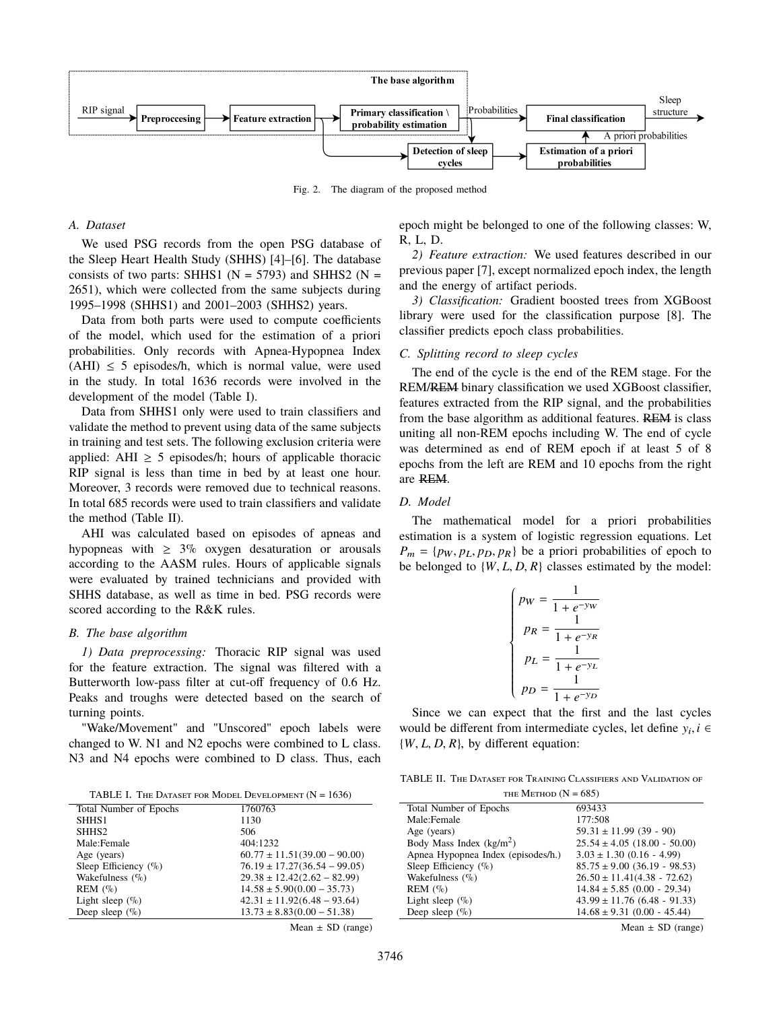

Fig. 2. The diagram of the proposed method

# *A. Dataset*

We used PSG records from the open PSG database of the Sleep Heart Health Study (SHHS) [4]–[6]. The database consists of two parts: SHHS1 ( $N = 5793$ ) and SHHS2 ( $N =$ 2651), which were collected from the same subjects during 1995–1998 (SHHS1) and 2001–2003 (SHHS2) years.

Data from both parts were used to compute coefficients of the model, which used for the estimation of a priori probabilities. Only records with Apnea-Hypopnea Index  $(AHI) \leq 5$  episodes/h, which is normal value, were used in the study. In total 1636 records were involved in the development of the model (Table I).

Data from SHHS1 only were used to train classifiers and validate the method to prevent using data of the same subjects in training and test sets. The following exclusion criteria were applied: AHI  $\geq$  5 episodes/h; hours of applicable thoracic RIP signal is less than time in bed by at least one hour. Moreover, 3 records were removed due to technical reasons. In total 685 records were used to train classifiers and validate the method (Table II).

AHI was calculated based on episodes of apneas and hypopneas with  $\geq 3\%$  oxygen desaturation or arousals according to the AASM rules. Hours of applicable signals were evaluated by trained technicians and provided with SHHS database, as well as time in bed. PSG records were scored according to the R&K rules.

# *B. The base algorithm*

*1) Data preprocessing:* Thoracic RIP signal was used for the feature extraction. The signal was filtered with a Butterworth low-pass filter at cut-off frequency of 0.6 Hz. Peaks and troughs were detected based on the search of turning points.

"Wake/Movement" and "Unscored" epoch labels were changed to W. N1 and N2 epochs were combined to L class. N3 and N4 epochs were combined to D class. Thus, each

TABLE I. THE DATASET FOR MODEL DEVELOPMENT  $(N = 1636)$ 

| Total Number of Epochs   | 1760763                          |
|--------------------------|----------------------------------|
| SHHS <sub>1</sub>        | 1130                             |
| SHHS <sub>2</sub>        | 506                              |
| Male:Female              | 404:1232                         |
| Age (years)              | $60.77 \pm 11.51(39.00 - 90.00)$ |
| Sleep Efficiency $(\% )$ | $76.19 \pm 17.27(36.54 - 99.05)$ |
| Wakefulness $(\%)$       | $29.38 \pm 12.42(2.62 - 82.99)$  |
| REM (%)                  | $14.58 \pm 5.90(0.00 - 35.73)$   |
| Light sleep $(\%)$       | $42.31 \pm 11.92(6.48 - 93.64)$  |
| Deep sleep $(\%)$        | $13.73 \pm 8.83(0.00 - 51.38)$   |
|                          | $ -$                             |

Mean  $\pm$  SD (range)

epoch might be belonged to one of the following classes: W, R, L, D.

*2) Feature extraction:* We used features described in our previous paper [7], except normalized epoch index, the length and the energy of artifact periods.

*3) Classification:* Gradient boosted trees from XGBoost library were used for the classification purpose [8]. The classifier predicts epoch class probabilities.

## *C. Splitting record to sleep cycles*

The end of the cycle is the end of the REM stage. For the REM/REM binary classification we used XGBoost classifier, features extracted from the RIP signal, and the probabilities from the base algorithm as additional features. REM is class uniting all non-REM epochs including W. The end of cycle was determined as end of REM epoch if at least 5 of 8 epochs from the left are REM and 10 epochs from the right are REM.

#### *D. Model*

The mathematical model for a priori probabilities estimation is a system of logistic regression equations. Let  $P_m = \{p_W, p_L, p_D, p_R\}$  be a priori probabilities of epoch to be belonged to  $\{W, L, D, R\}$  classes estimated by the model:

$$
\begin{cases} p_W=\frac{1}{1+e^{-y_W}}\\ p_R=\frac{1}{1+e^{-y_R}}\\ p_L=\frac{1}{1+e^{-y_L}}\\ p_D=\frac{1}{1+e^{-y_D}} \end{cases}
$$

Since we can expect that the first and the last cycles would be different from intermediate cycles, let define  $y_i, i \in$ <br>*iW I* D *R*<sup>1</sup> by different equation:  $\{W, L, D, R\}$ , by different equation:

TABLE II. The Dataset for Training Classifiers and Validation of  $T_{\text{t}}$  Mergeon (N = 685)

| THE IVIETHOD $(1N = 00J)$          |                                  |
|------------------------------------|----------------------------------|
| Total Number of Epochs             | 693433                           |
| Male:Female                        | 177:508                          |
| Age (years)                        | $59.31 \pm 11.99$ (39 - 90)      |
| Body Mass Index $(kg/m2)$          | $25.54 \pm 4.05$ (18.00 - 50.00) |
| Apnea Hypopnea Index (episodes/h.) | $3.03 \pm 1.30$ (0.16 - 4.99)    |
| Sleep Efficiency $(\% )$           | $85.75 \pm 9.00$ (36.19 - 98.53) |
| Wakefulness $(\% )$                | $26.50 \pm 11.41(4.38 - 72.62)$  |
| REM (%)                            | $14.84 \pm 5.85$ (0.00 - 29.34)  |
| Light sleep $(\%)$                 | $43.99 \pm 11.76$ (6.48 - 91.33) |
| Deep sleep $(\%)$                  | $14.68 \pm 9.31$ (0.00 - 45.44)  |
|                                    |                                  |

Mean  $\pm$  SD (range)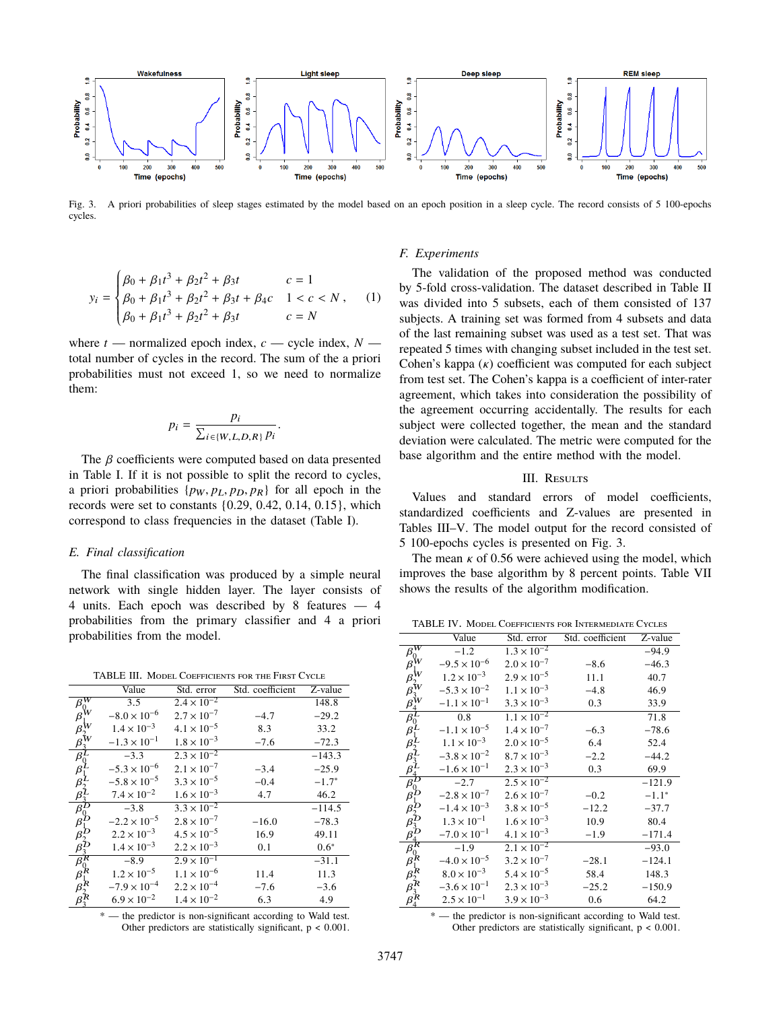

Fig. 3. A priori probabilities of sleep stages estimated by the model based on an epoch position in a sleep cycle. The record consists of 5 100-epochs cycles.

$$
y_i = \begin{cases} \beta_0 + \beta_1 t^3 + \beta_2 t^2 + \beta_3 t & c = 1\\ \beta_0 + \beta_1 t^3 + \beta_2 t^2 + \beta_3 t + \beta_4 c & 1 < c < N \\ \beta_0 + \beta_1 t^3 + \beta_2 t^2 + \beta_3 t & c = N \end{cases}
$$
(1)

where  $t$  — normalized epoch index,  $c$  — cycle index,  $N$  total number of cycles in the record. The sum of the a priori probabilities must not exceed 1, so we need to normalize them:

$$
p_i = \frac{p_i}{\sum_{i \in \{W, L, D, R\}} p_i}
$$

The  $\beta$  coefficients were computed based on data presented in Table I. If it is not possible to split the record to cycles, a priori probabilities  $\{p_W, p_L, p_D, p_R\}$  for all epoch in the records were set to constants {0.29, 0.42, 0.14, 0.15}, which correspond to class frequencies in the dataset (Table I).

## *E. Final classification*

The final classification was produced by a simple neural network with single hidden layer. The layer consists of 4 units. Each epoch was described by 8 features — 4 probabilities from the primary classifier and 4 a priori probabilities from the model.

TABLE III. Model Coefficients for the First Cycle

|                                      | Value                 | Std. error           | Std. coefficient                                             | Z-value  |
|--------------------------------------|-----------------------|----------------------|--------------------------------------------------------------|----------|
| $\mathcal{B}^{\pmb{\overline{W}}}_c$ | 3.5                   | $2.4 \times 10^{-2}$ |                                                              | 148.8    |
| ß                                    | $-8.0\times10^{-6}$   | $2.7 \times 10^{-7}$ | $-4.7$                                                       | $-29.2$  |
|                                      | $1.4 \times 10^{-3}$  | $4.1 \times 10^{-5}$ | 8.3                                                          | 33.2     |
|                                      | $-1.3 \times 10^{-1}$ | $1.8 \times 10^{-3}$ | $-7.6$                                                       | $-72.3$  |
| $\beta_i$                            | $-3.3$                | $2.3 \times 10^{-2}$ |                                                              | $-143.3$ |
| $\beta$                              | $-5.3 \times 10^{-6}$ | $2.1 \times 10^{-7}$ | $-3.4$                                                       | $-25.9$  |
|                                      | $-5.8 \times 10^{-5}$ | $3.3 \times 10^{-5}$ | $-0.4$                                                       | $-1.7*$  |
| $\beta$                              | $7.4 \times 10^{-2}$  | $1.6 \times 10^{-3}$ | 4.7                                                          | 46.2     |
| $\bar{\beta}^\prime$                 | $-3.8$                | $3.3 \times 10^{-2}$ |                                                              | $-114.5$ |
| $\beta$                              | $-2.2 \times 10^{-5}$ | $2.8 \times 10^{-7}$ | $-16.0$                                                      | $-78.3$  |
| ß                                    | $2.2 \times 10^{-3}$  | $4.5 \times 10^{-5}$ | 16.9                                                         | 49.11    |
| β                                    | $1.4 \times 10^{-3}$  | $2.2 \times 10^{-3}$ | 0.1                                                          | $0.6*$   |
| $\overline{\beta_{0}^{R}}$           | $-8.9$                | $2.9 \times 10^{-1}$ |                                                              | $-31.1$  |
| ß                                    | $1.2 \times 10^{-5}$  | $1.1 \times 10^{-6}$ | 11.4                                                         | 11.3     |
|                                      | $-7.9 \times 10^{-4}$ | $2.2 \times 10^{-4}$ | $-7.6$                                                       | $-3.6$   |
|                                      | $6.9 \times 10^{-2}$  | $1.4 \times 10^{-2}$ | 6.3                                                          | 4.9      |
|                                      |                       |                      | * — the predictor is non-significant according to Wald test. |          |

Other predictors are statistically significant, p < 0.001.

# *F. Experiments*

The validation of the proposed method was conducted by 5-fold cross-validation. The dataset described in Table II was divided into 5 subsets, each of them consisted of 137 subjects. A training set was formed from 4 subsets and data of the last remaining subset was used as a test set. That was repeated 5 times with changing subset included in the test set. Cohen's kappa  $(\kappa)$  coefficient was computed for each subject from test set. The Cohen's kappa is a coefficient of inter-rater agreement, which takes into consideration the possibility of the agreement occurring accidentally. The results for each subject were collected together, the mean and the standard deviation were calculated. The metric were computed for the base algorithm and the entire method with the model.

### III. Results

Values and standard errors of model coefficients, standardized coefficients and Z-values are presented in Tables III–V. The model output for the record consisted of 5 100-epochs cycles is presented on Fig. 3.

The mean  $\kappa$  of 0.56 were achieved using the model, which improves the base algorithm by 8 percent points. Table VII shows the results of the algorithm modification.

TABLE IV. Model Coefficients for Intermediate Cycles

|                                               | Value                 | Std. error           | Std. coefficient | Z-value  |
|-----------------------------------------------|-----------------------|----------------------|------------------|----------|
| $\beta_{c}^{\overline{W}}$                    | $-1.2$                | $1.3 \times 10^{-2}$ |                  | $-94.9$  |
| $\beta^{\mathsf{W}}$                          | $-9.5 \times 10^{-6}$ | $2.0 \times 10^{-7}$ | $-8.6$           | $-46.3$  |
| $\beta_{\cdot}^{\mathsf{W}}$                  | $1.2 \times 10^{-3}$  | $2.9 \times 10^{-5}$ | 11.1             | 40.7     |
| $\frac{\beta^{\rm W}_{3}}{\beta^{\rm W}_{4}}$ | $-5.3 \times 10^{-2}$ | $1.1 \times 10^{-3}$ | $-4.8$           | 46.9     |
|                                               | $-1.1 \times 10^{-1}$ | $3.3 \times 10^{-3}$ | 0.3              | 33.9     |
| $\beta_0^L$                                   | 0.8                   | $1.1 \times 10^{-2}$ |                  | 71.8     |
| $\beta_1^{\check{I}}$                         | $-1.1 \times 10^{-5}$ | $1.4 \times 10^{-7}$ | $-6.3$           | $-78.6$  |
| $\beta_2^L$                                   | $1.1 \times 10^{-3}$  | $2.0 \times 10^{-5}$ | 6.4              | 52.4     |
| $\beta_3^I$                                   | $-3.8 \times 10^{-2}$ | $8.7 \times 10^{-3}$ | $-2.2$           | $-44.2$  |
| $\beta_4^L$                                   | $-1.6 \times 10^{-1}$ | $2.3 \times 10^{-3}$ | 0.3              | 69.9     |
| $\beta_0^L$                                   | $-2.7$                | $2.5 \times 10^{-2}$ |                  | $-121.9$ |
| $\beta_1^L$                                   | $-2.8 \times 10^{-7}$ | $2.6 \times 10^{-7}$ | $-0.2$           | $-1.1*$  |
|                                               | $-1.4 \times 10^{-3}$ | $3.8 \times 10^{-5}$ | $-12.2$          | $-37.7$  |
|                                               | $1.3 \times 10^{-1}$  | $1.6 \times 10^{-3}$ | 10.9             | 80.4     |
|                                               | $-7.0 \times 10^{-1}$ | $4.1 \times 10^{-3}$ | $-1.9$           | $-171.4$ |
|                                               | $-1.9$                | $2.1 \times 10^{-2}$ |                  | $-93.0$  |
| ß.                                            | $-4.0 \times 10^{-5}$ | $3.2 \times 10^{-7}$ | $-28.1$          | $-124.1$ |
|                                               | $8.0 \times 10^{-3}$  | $5.4 \times 10^{-5}$ | 58.4             | 148.3    |
|                                               | $-3.6 \times 10^{-1}$ | $2.3 \times 10^{-3}$ | $-25.2$          | $-150.9$ |
|                                               | $2.5 \times 10^{-1}$  | $3.9 \times 10^{-3}$ | 0.6              | 64.2     |
|                                               |                       |                      |                  |          |

 $2.5 \times 10^{-1}$   $3.9 \times 10^{-3}$  0.6 64.2<br>\* — the predictor is non-significant according to Wald test. Other predictors are statistically significant,  $p < 0.001$ .